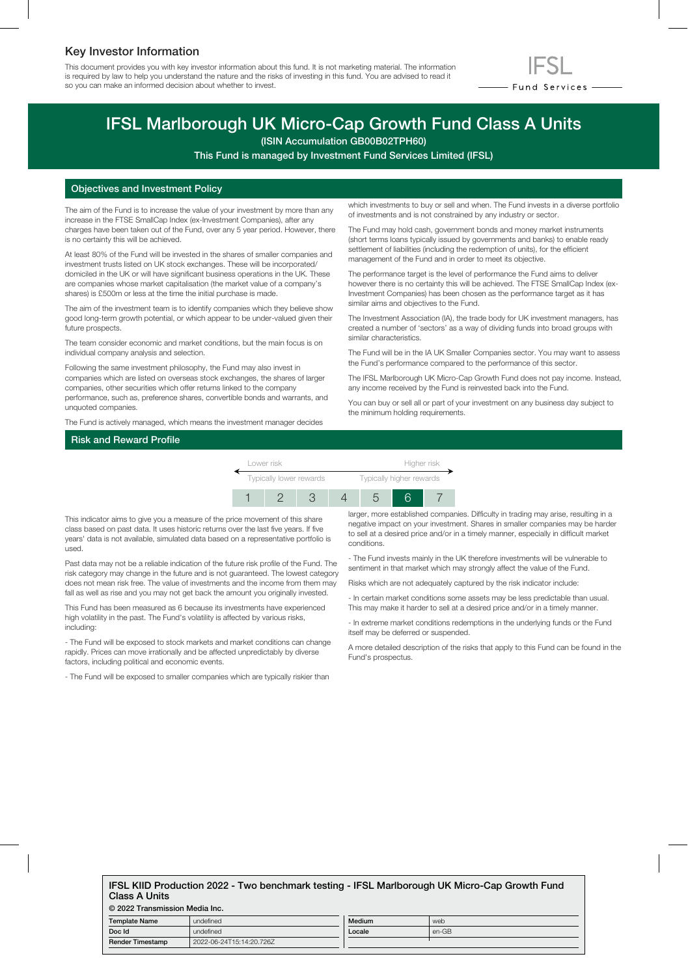## Key Investor Information

This document provides you with key investor information about this fund. It is not marketing material. The information is required by law to help you understand the nature and the risks of investing in this fund. You are advised to read it so you can make an informed decision about whether to invest.



# IFSL Marlborough UK Micro-Cap Growth Fund Class A Units

(ISIN Accumulation GB00B02TPH60)

This Fund is managed by Investment Fund Services Limited (IFSL)

### Objectives and Investment Policy

The aim of the Fund is to increase the value of your investment by more than any increase in the FTSE SmallCap Index (ex-Investment Companies), after any charges have been taken out of the Fund, over any 5 year period. However, there is no certainty this will be achieved.

At least 80% of the Fund will be invested in the shares of smaller companies and investment trusts listed on UK stock exchanges. These will be incorporated/ domiciled in the UK or will have significant business operations in the UK. These are companies whose market capitalisation (the market value of a company's shares) is £500m or less at the time the initial purchase is made.

The aim of the investment team is to identify companies which they believe show good long-term growth potential, or which appear to be under-valued given their future prospects.

The team consider economic and market conditions, but the main focus is on individual company analysis and selection.

Following the same investment philosophy, the Fund may also invest in companies which are listed on overseas stock exchanges, the shares of larger companies, other securities which offer returns linked to the company performance, such as, preference shares, convertible bonds and warrants, and unquoted companies.

The Fund is actively managed, which means the investment manager decides

which investments to buy or sell and when. The Fund invests in a diverse portfolio of investments and is not constrained by any industry or sector.

The Fund may hold cash, government bonds and money market instruments (short terms loans typically issued by governments and banks) to enable ready settlement of liabilities (including the redemption of units), for the efficient management of the Fund and in order to meet its objective.

The performance target is the level of performance the Fund aims to deliver however there is no certainty this will be achieved. The FTSE SmallCap Index (ex-Investment Companies) has been chosen as the performance target as it has similar aims and objectives to the Fund.

The Investment Association (IA), the trade body for UK investment managers, has created a number of 'sectors' as a way of dividing funds into broad groups with similar characteristics.

The Fund will be in the IA UK Smaller Companies sector. You may want to assess the Fund's performance compared to the performance of this sector.

The IFSL Marlborough UK Micro-Cap Growth Fund does not pay income. Instead, any income received by the Fund is reinvested back into the Fund.

You can buy or sell all or part of your investment on any business day subject to the minimum holding requirements.

## Risk and Reward Profile



This indicator aims to give you a measure of the price movement of this share class based on past data. It uses historic returns over the last five years. If five years' data is not available, simulated data based on a representative portfolio is used.

Past data may not be a reliable indication of the future risk profile of the Fund. The risk category may change in the future and is not guaranteed. The lowest category does not mean risk free. The value of investments and the income from them may fall as well as rise and you may not get back the amount you originally invested.

This Fund has been measured as 6 because its investments have experienced high volatility in the past. The Fund's volatility is affected by various risks, including:

- The Fund will be exposed to stock markets and market conditions can change rapidly. Prices can move irrationally and be affected unpredictably by diverse factors, including political and economic events.

- The Fund will be exposed to smaller companies which are typically riskier than

larger, more established companies. Difficulty in trading may arise, resulting in a negative impact on your investment. Shares in smaller companies may be harder to sell at a desired price and/or in a timely manner, especially in difficult market conditions.

- The Fund invests mainly in the UK therefore investments will be vulnerable to sentiment in that market which may strongly affect the value of the Fund.

Risks which are not adequately captured by the risk indicator include:

- In certain market conditions some assets may be less predictable than usual. This may make it harder to sell at a desired price and/or in a timely manner.

- In extreme market conditions redemptions in the underlying funds or the Fund itself may be deferred or suspended.

A more detailed description of the risks that apply to this Fund can be found in the Fund's prospectus.